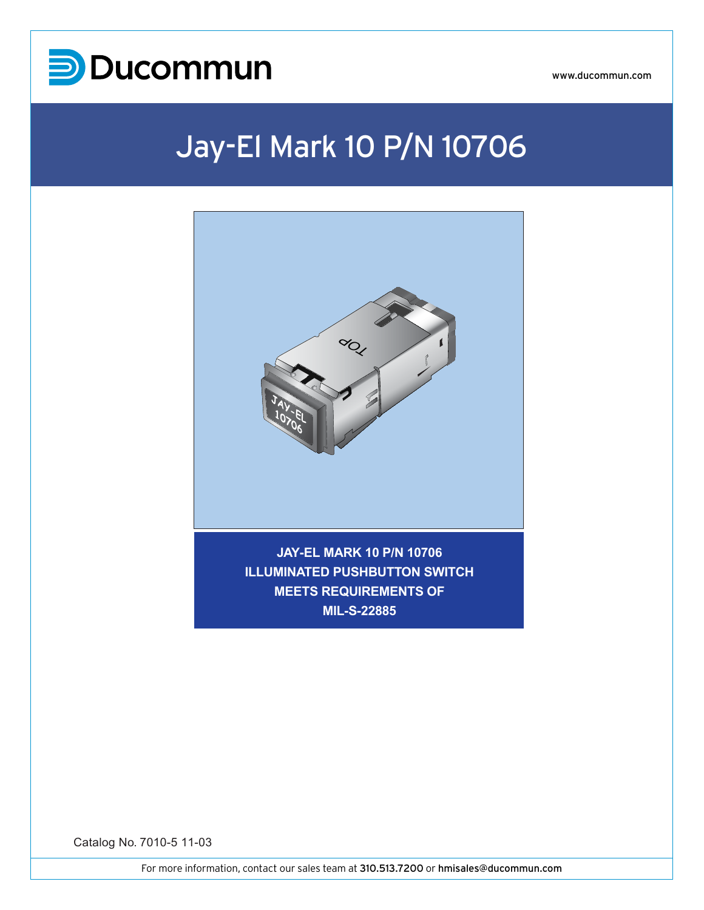

# Jay-El Mark 10 P/N 10706



**MIL-S-22885**

Catalog No. 7010-5 11-03

For more information, contact our sales team at 310.513.7200 or hmisales@ducommun.com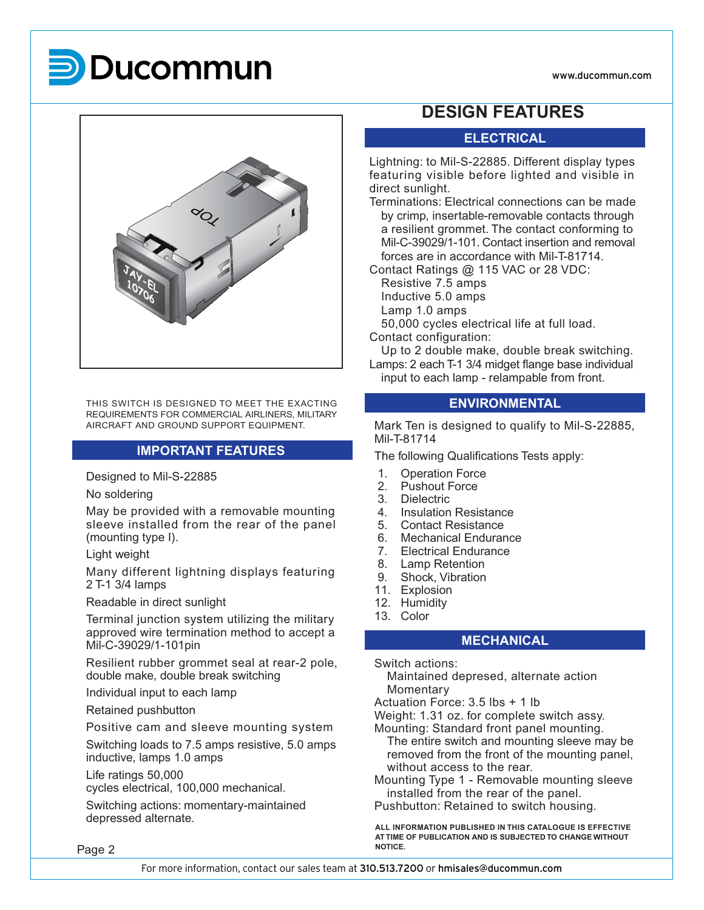



THIS SWITCH IS DESIGNED TO MEET THE EXACTING REQUIREMENTS FOR COMMERCIAL AIRLINERS, MILITARY AIRCRAFT AND GROUND SUPPORT EQUIPMENT.

### **IMPORTANT FEATURES**

Designed to Mil-S-22885

No soldering

May be provided with a removable mounting sleeve installed from the rear of the panel (mounting type I).

Light weight

Many different lightning displays featuring 2 T-1 3/4 lamps

Readable in direct sunlight

Terminal junction system utilizing the military approved wire termination method to accept a Mil-C-39029/1-101pin

Resilient rubber grommet seal at rear-2 pole, double make, double break switching

Individual input to each lamp

Retained pushbutton

Positive cam and sleeve mounting system

Switching loads to 7.5 amps resistive, 5.0 amps inductive, lamps 1.0 amps

Life ratings 50,000

cycles electrical, 100,000 mechanical.

Switching actions: momentary-maintained depressed alternate.

## **DESIGN FEATURES**

## **ELECTRICAL**

Lightning: to Mil-S-22885. Different display types featuring visible before lighted and visible in direct sunlight.

Terminations: Electrical connections can be made by crimp, insertable-removable contacts through a resilient grommet. The contact conforming to Mil-C-39029/1-101. Contact insertion and removal forces are in accordance with Mil-T-81714.

Contact Ratings @ 115 VAC or 28 VDC:

Resistive 7.5 amps Inductive 5.0 amps Lamp 1.0 amps

50,000 cycles electrical life at full load.

Contact configuration:

Up to 2 double make, double break switching.

Lamps: 2 each T-1 3/4 midget flange base individual input to each lamp - relampable from front.

#### **ENVIRONMENTAL**

Mark Ten is designed to qualify to Mil-S-22885, Mil-T-81714

The following Qualifications Tests apply:

- 1. Operation Force
- 2. Pushout Force
- 3. Dielectric
- 4. Insulation Resistance<br>5 Contact Resistance
- 5. Contact Resistance<br>6. Mechanical Endurar
- Mechanical Endurance
- 7. Electrical Endurance
- 8. Lamp Retention
- 9. Shock, Vibration
- 11. Explosion
- 12. Humidity
- 13. Color

#### **MECHANICAL**

Switch actions:

Maintained depresed, alternate action Momentary

Actuation Force: 3.5 lbs + 1 lb

Weight: 1.31 oz. for complete switch assy.

Mounting: Standard front panel mounting.

The entire switch and mounting sleeve may be removed from the front of the mounting panel, without access to the rear.

Mounting Type 1 - Removable mounting sleeve installed from the rear of the panel.

Pushbutton: Retained to switch housing.

**ALL INFORMATION PUBLISHED IN THIS CATALOGUE IS EFFECTIVE AT TIME OF PUBLICATION AND IS SUBJECTED TO CHANGE WITHOUT**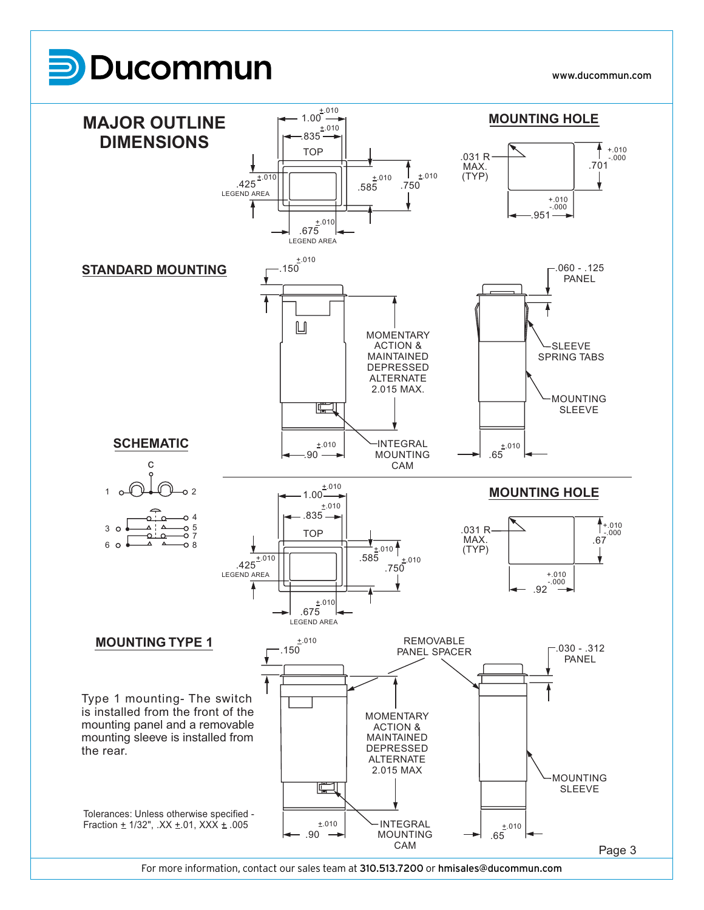

Tolerances: Unless otherwise specified - Fraction  $\pm$  1/32", .XX  $\pm$  01, XXX  $\pm$  005

For more information, contact our sales team at 310.513.7200 or hmisales@ducommun.com

**INTEGRAL** MOUNTING CAM

 $.90 \rightarrow$  $±.010$ 

Page 3

.65  $±.010$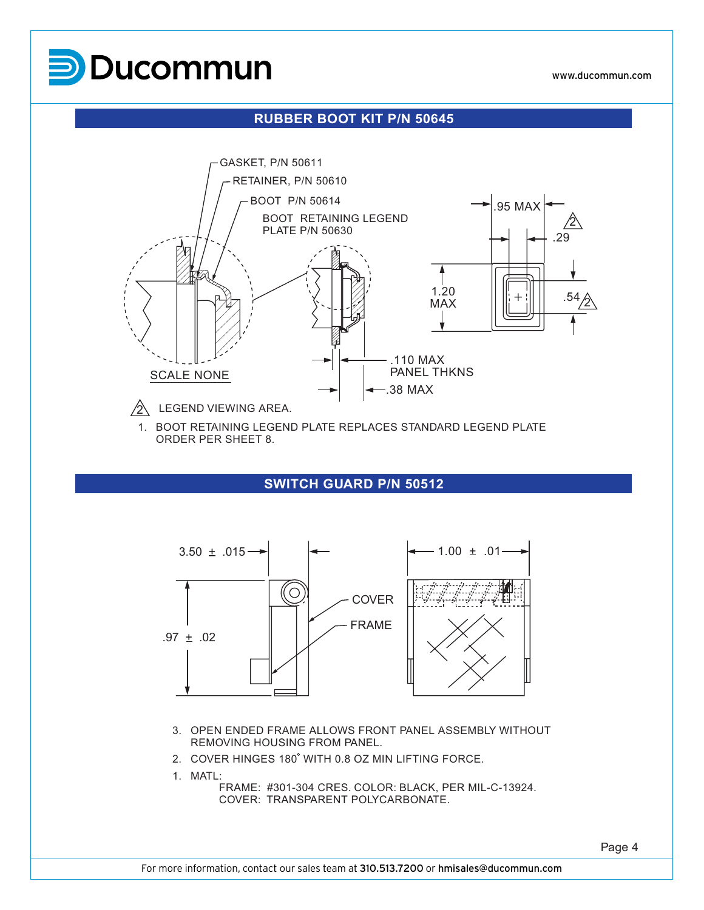

#### **RUBBER BOOT KIT P/N 50645**



1. BOOT RETAINING LEGEND PLATE REPLACES STANDARD LEGEND PLATE ORDER PER SHEET 8.

#### **SWITCH GUARD P/N 50512**



- 3. OPEN ENDED FRAME ALLOWS FRONT PANEL ASSEMBLY WITHOUT REMOVING HOUSING FROM PANEL.
- 2. COVER HINGES 180° WITH 0.8 OZ MIN LIFTING FORCE.
- 1. MATL:

FRAME: #301-304 CRES. COLOR: BLACK, PER MIL-C-13924. COVER: TRANSPARENT POLYCARBONATE.